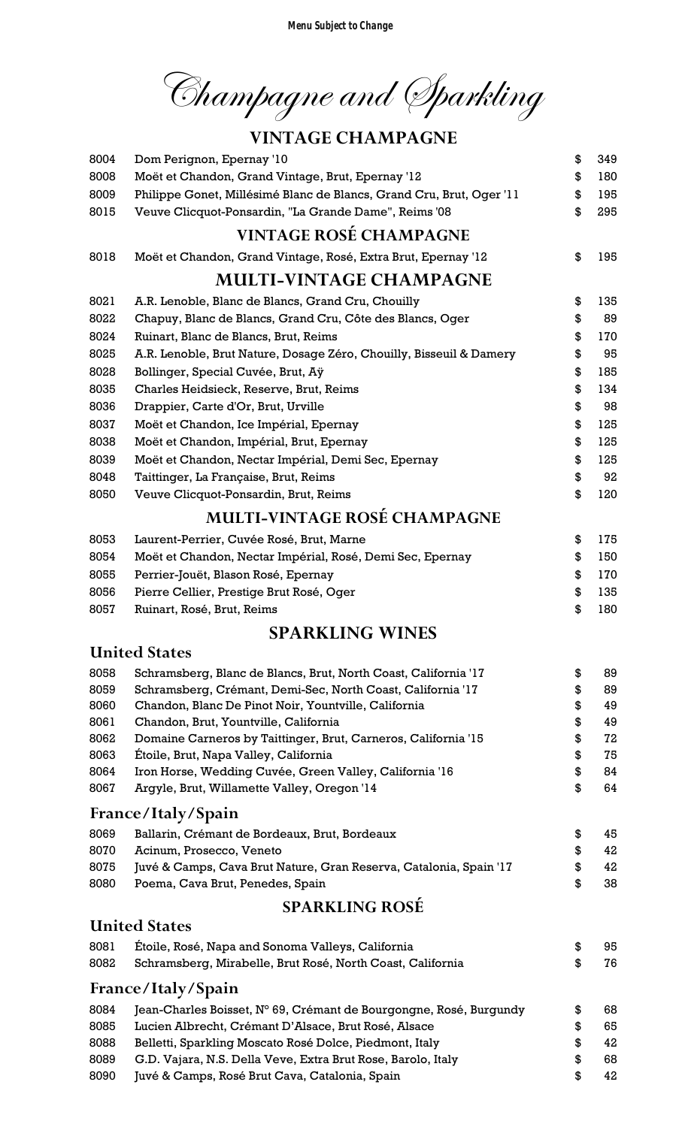Champagne and Sparkling

## VINTAGE CHAMPAGNE

| 8004         | Dom Perignon, Epernay '10                                                                                      | \$       | 349      |
|--------------|----------------------------------------------------------------------------------------------------------------|----------|----------|
| 8008         | Moët et Chandon, Grand Vintage, Brut, Epernay '12                                                              | \$       | 180      |
| 8009         | Philippe Gonet, Millésimé Blanc de Blancs, Grand Cru, Brut, Oger '11                                           | \$       | 195      |
| 8015         | Veuve Clicquot-Ponsardin, "La Grande Dame", Reims '08                                                          | \$       | 295      |
|              | <b>VINTAGE ROSÉ CHAMPAGNE</b>                                                                                  |          |          |
| 8018         | Moët et Chandon, Grand Vintage, Rosé, Extra Brut, Epernay '12                                                  | \$       | 195      |
|              | <b>MULTI-VINTAGE CHAMPAGNE</b>                                                                                 |          |          |
| 8021         | A.R. Lenoble, Blanc de Blancs, Grand Cru, Chouilly                                                             | \$       | 135      |
| 8022         | Chapuy, Blanc de Blancs, Grand Cru, Côte des Blancs, Oger                                                      | \$       | 89       |
| 8024         | Ruinart, Blanc de Blancs, Brut, Reims                                                                          | \$       | 170      |
| 8025         | A.R. Lenoble, Brut Nature, Dosage Zéro, Chouilly, Bisseuil & Damery                                            | \$       | 95       |
| 8028         | Bollinger, Special Cuvée, Brut, Aÿ                                                                             | \$       | 185      |
| 8035         | Charles Heidsieck, Reserve, Brut, Reims                                                                        | \$       | 134      |
| 8036         | Drappier, Carte d'Or, Brut, Urville                                                                            | \$       | 98       |
| 8037         | Moët et Chandon, Ice Impérial, Epernay                                                                         | \$       | 125      |
| 8038         | Moët et Chandon, Impérial, Brut, Epernay                                                                       | \$       | 125      |
| 8039         | Moët et Chandon, Nectar Impérial, Demi Sec, Epernay                                                            | \$       | 125      |
| 8048         | Taittinger, La Française, Brut, Reims                                                                          | \$       | 92       |
| 8050         | Veuve Clicquot-Ponsardin, Brut, Reims                                                                          | \$       | 120      |
|              | <b>MULTI-VINTAGE ROSÉ CHAMPAGNE</b>                                                                            |          |          |
| 8053         | Laurent-Perrier, Cuvée Rosé, Brut, Marne                                                                       | \$       | 175      |
| 8054         | Moët et Chandon, Nectar Impérial, Rosé, Demi Sec, Epernay                                                      | \$       | 150      |
| 8055         | Perrier-Jouët, Blason Rosé, Epernay                                                                            | \$       | 170      |
| 8056         | Pierre Cellier, Prestige Brut Rosé, Oger                                                                       | \$       | 135      |
| 8057         | Ruinart, Rosé, Brut, Reims                                                                                     | \$       | 180      |
|              | <b>SPARKLING WINES</b>                                                                                         |          |          |
|              | <b>United States</b>                                                                                           |          |          |
| 8058         | Schramsberg, Blanc de Blancs, Brut, North Coast, California '17                                                | \$       | 89       |
| 8059         | Schramsberg, Crémant, Demi-Sec, North Coast, California '17                                                    | \$       | 89       |
| 8060         | Chandon, Blanc De Pinot Noir, Yountville, California                                                           | \$       | 49       |
| 8061         | Chandon, Brut, Yountville, California                                                                          | \$       | 49       |
| 8062         | Domaine Carneros by Taittinger, Brut, Carneros, California '15                                                 | \$       | 72       |
| 8063         | Étoile, Brut, Napa Valley, California                                                                          | \$       | 75       |
| 8064         | Iron Horse, Wedding Cuvée, Green Valley, California '16                                                        | \$       | 84       |
| 8067         | Argyle, Brut, Willamette Valley, Oregon '14                                                                    | \$       | 64       |
|              | France/Italy/Spain                                                                                             |          |          |
| 8069         | Ballarin, Crémant de Bordeaux, Brut, Bordeaux                                                                  | \$       | 45       |
| 8070         | Acinum, Prosecco, Veneto                                                                                       | \$       | 42       |
| 8075         | Juvé & Camps, Cava Brut Nature, Gran Reserva, Catalonia, Spain '17                                             | \$       | 42       |
| 8080         | Poema, Cava Brut, Penedes, Spain                                                                               | \$       | 38       |
|              | <b>SPARKLING ROSÉ</b>                                                                                          |          |          |
|              | <b>United States</b>                                                                                           |          |          |
| 8081         |                                                                                                                |          |          |
|              | Étoile, Rosé, Napa and Sonoma Valleys, California                                                              | \$       | 95       |
| 8082         | Schramsberg, Mirabelle, Brut Rosé, North Coast, California                                                     | \$       | 76       |
|              | France/Italy/Spain                                                                                             |          |          |
| 8084         | Jean-Charles Boisset, N° 69, Crémant de Bourgongne, Rosé, Burgundy                                             | \$       | 68       |
| 8085         | Lucien Albrecht, Crémant D'Alsace, Brut Rosé, Alsace                                                           | \$       | 65       |
| 8088         | Belletti, Sparkling Moscato Rosé Dolce, Piedmont, Italy                                                        | \$       | 42       |
| 8089<br>8090 | G.D. Vajara, N.S. Della Veve, Extra Brut Rose, Barolo, Italy<br>Juvé & Camps, Rosé Brut Cava, Catalonia, Spain | \$<br>\$ | 68<br>42 |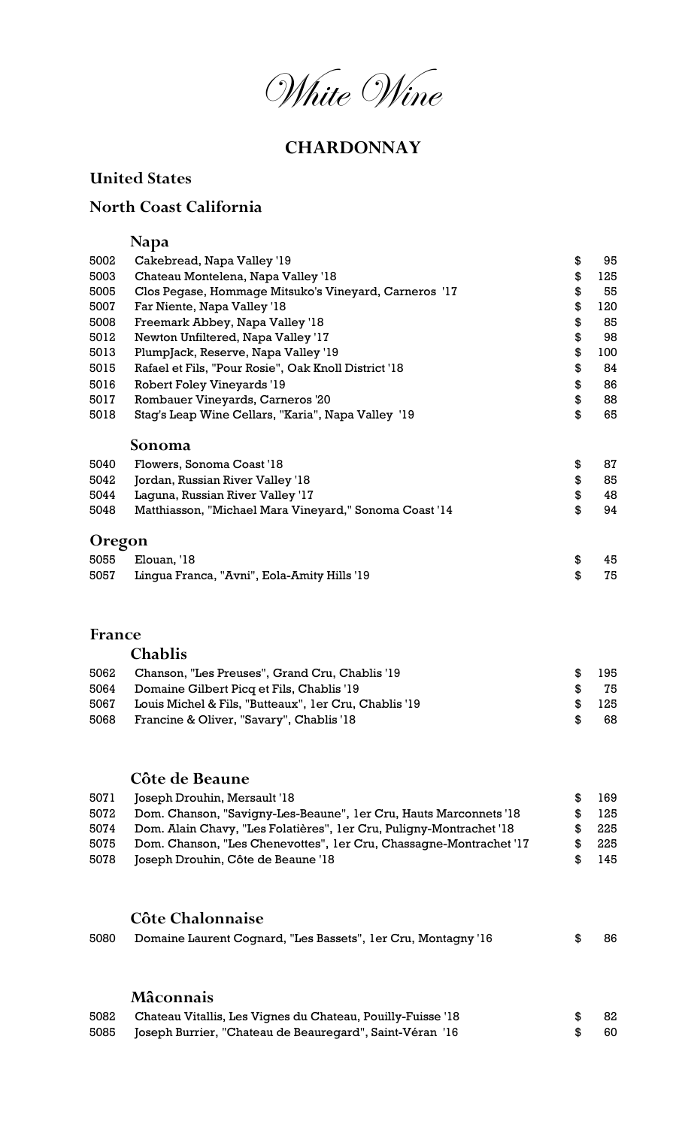White Wine

## **CHARDONNAY**

#### United States

#### North Coast California

## Napa

| 5002          | Cakebread, Napa Valley '19                             | \$<br>95  |
|---------------|--------------------------------------------------------|-----------|
| 5003          | Chateau Montelena, Napa Valley '18                     | \$<br>125 |
| 5005          | Clos Pegase, Hommage Mitsuko's Vineyard, Carneros '17  | \$<br>55  |
| 5007          | Far Niente, Napa Valley '18                            | \$<br>120 |
| 5008          | Freemark Abbey, Napa Valley '18                        | \$<br>85  |
| 5012          | Newton Unfiltered, Napa Valley '17                     | \$<br>98  |
| 5013          | PlumpJack, Reserve, Napa Valley '19                    | \$<br>100 |
| 5015          | Rafael et Fils, "Pour Rosie", Oak Knoll District '18   | \$<br>84  |
| 5016          | Robert Foley Vineyards '19                             | \$<br>86  |
| 5017          | Rombauer Vineyards, Carneros '20                       | \$<br>88  |
| 5018          | Stag's Leap Wine Cellars, "Karia", Napa Valley '19     | \$<br>65  |
|               | Sonoma                                                 |           |
| 5040          | Flowers, Sonoma Coast '18                              | \$<br>87  |
| 5042          | Jordan, Russian River Valley '18                       | \$<br>85  |
| 5044          | Laguna, Russian River Valley '17                       | \$<br>48  |
| 5048          | Matthiasson, "Michael Mara Vineyard," Sonoma Coast '14 | \$<br>94  |
| <b>Oregon</b> |                                                        |           |
| 5055          | Elouan, '18                                            | \$<br>45  |
| 5057          | Lingua Franca, "Avni", Eola-Amity Hills '19            | \$<br>75  |
|               |                                                        |           |
|               |                                                        |           |
| <b>France</b> |                                                        |           |
|               | Chablis                                                |           |

| 5062 | Chanson, "Les Preuses", Grand Cru, Chablis '19        | æ.            | 195 |
|------|-------------------------------------------------------|---------------|-----|
|      | 5064 Domaine Gilbert Picq et Fils, Chablis '19        | $\mathcal{F}$ | 75  |
| 5067 | Louis Michel & Fils, "Butteaux", 1er Cru, Chablis '19 | SS.           | 125 |
| 5068 | Francine & Oliver, "Savary", Chablis '18              | -SG           | -68 |

#### Côte de Beaune

| 5071 | Joseph Drouhin, Mersault '18                                        | 169 |
|------|---------------------------------------------------------------------|-----|
| 5072 | Dom. Chanson, "Savigny-Les-Beaune", 1er Cru, Hauts Marconnets '18   | 125 |
| 5074 | Dom. Alain Chavy, "Les Folatières", 1er Cru, Puligny-Montrachet '18 | 225 |
| 5075 | Dom. Chanson, "Les Chenevottes", 1er Cru, Chassagne-Montrachet '17  | 225 |
| 5078 | Joseph Drouhin, Côte de Beaune '18                                  | 145 |

## Côte Chalonnaise

| 5080       Domaine Laurent Cognard, "Les Bassets", 1er Cru, Montagny '16 | \$86 |  |
|--------------------------------------------------------------------------|------|--|
|                                                                          |      |  |

#### Mâconnais

| 5082 Chateau Vitallis, Les Vignes du Chateau, Pouilly-Fuisse '18 | \$ 82 |  |
|------------------------------------------------------------------|-------|--|
| 5085 Joseph Burrier, "Chateau de Beauregard", Saint-Véran '16    | \$60  |  |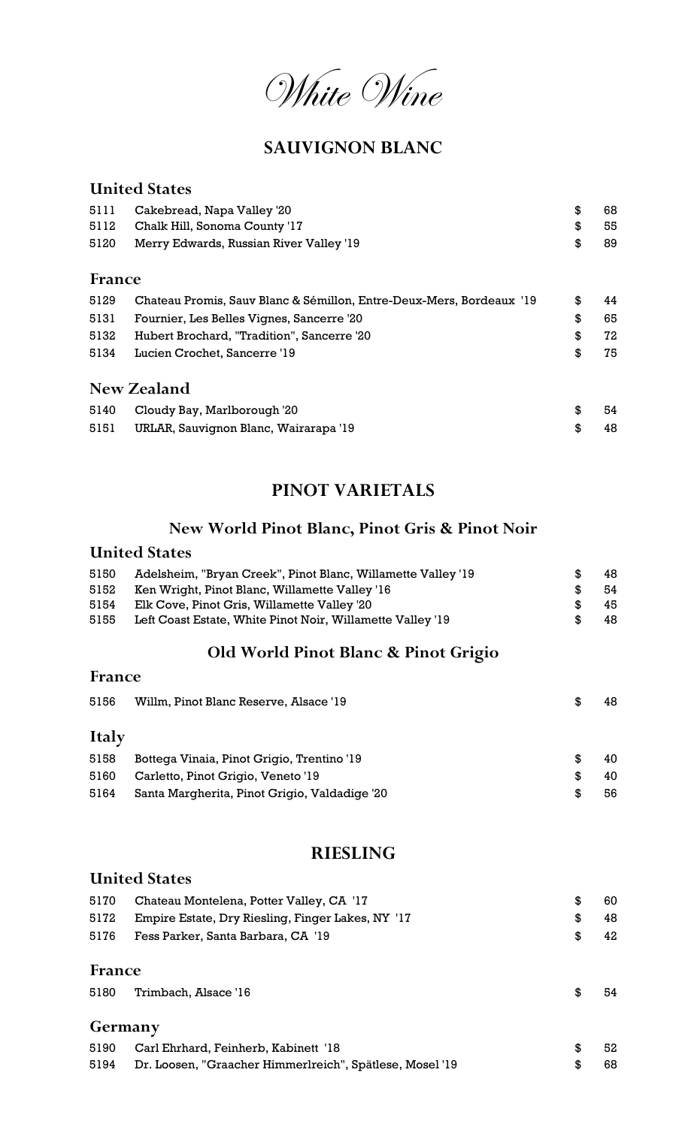

#### SAUVIGNON BLANC

## United States 5111 Cakebread, Napa Valley '20 \$ 68 5112 Chalk Hill, Sonoma County '17 \$ 55 5120 Merry Edwards, Russian River Valley '19 **\$** 89 France 5129 Chateau Promis, Sauv Blanc & Sémillon, Entre-Deux-Mers, Bordeaux '19 \$44 5131 Fournier, Les Belles Vignes, Sancerre '20 \$ 65 5132 Hubert Brochard, "Tradition", Sancerre '20 \$ 72 5134 Lucien Crochet, Sancerre '19 \$ 75 New Zealand 5140 Cloudy Bay, Marlborough '20 **5140** S 54 5151 URLAR, Sauvignon Blanc, Wairarapa '19 **\$48** 48

#### PINOT VARIETALS

#### New World Pinot Blanc, Pinot Gris & Pinot Noir

#### United States

France

| 5150 | Adelsheim, "Bryan Creek", Pinot Blanc, Willamette Valley '19 |     | 48. |
|------|--------------------------------------------------------------|-----|-----|
| 5152 | Ken Wright, Pinot Blanc, Willamette Valley '16               | -96 | -54 |
| 5154 | Elk Cove, Pinot Gris, Willamette Valley '20                  | -96 | 45. |
| 5155 | Left Coast Estate, White Pinot Noir, Willamette Valley '19   |     | 48. |

#### Old World Pinot Blanc & Pinot Grigio

| 11 an C      |                                               |     |    |
|--------------|-----------------------------------------------|-----|----|
| 5156         | Willm, Pinot Blanc Reserve, Alsace '19        | \$. | 48 |
| <b>Italy</b> |                                               |     |    |
| 5158         | Bottega Vinaia, Pinot Grigio, Trentino '19    | \$. | 40 |
| 5160         | Carletto, Pinot Grigio, Veneto '19            | \$. | 40 |
| 5164         | Santa Margherita, Pinot Grigio, Valdadige '20 | \$. | 56 |

#### RIESLING

#### United States

| 5170 | Chateau Montelena, Potter Valley, CA '17          | -60 |
|------|---------------------------------------------------|-----|
| 5172 | Empire Estate, Dry Riesling, Finger Lakes, NY '17 | 48  |
| 5176 | Fess Parker, Santa Barbara, CA '19                | 42  |

#### France

| 5180 | Trimbach, Alsace '16 | -54 |
|------|----------------------|-----|
|      |                      |     |

#### Germany

| 5190 Carl Ehrhard, Feinherb, Kabinett '18                     | - 52 |
|---------------------------------------------------------------|------|
| 5194 Dr. Loosen, "Graacher Himmerlreich", Spätlese, Mosel '19 | - 68 |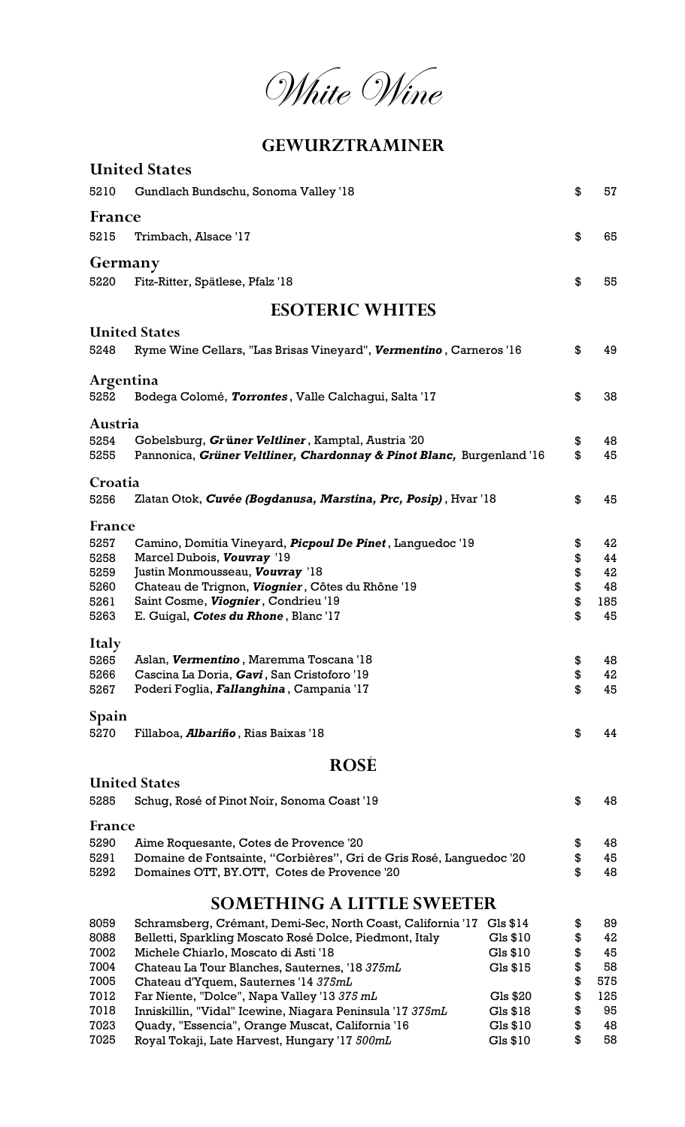White Wine

### GEWURZTRAMINER

|              | <b>United States</b>                                                                                          |                      |          |          |
|--------------|---------------------------------------------------------------------------------------------------------------|----------------------|----------|----------|
| 5210         | Gundlach Bundschu, Sonoma Valley '18                                                                          |                      | \$       | 57       |
| France       |                                                                                                               |                      |          |          |
| 5215         | Trimbach, Alsace '17                                                                                          |                      | \$       | 65       |
| Germany      |                                                                                                               |                      |          |          |
| 5220         | Fitz-Ritter, Spätlese, Pfalz '18                                                                              |                      | \$       | 55       |
|              | <b>ESOTERIC WHITES</b>                                                                                        |                      |          |          |
|              | <b>United States</b>                                                                                          |                      |          |          |
| 5248         | Ryme Wine Cellars, "Las Brisas Vineyard", Vermentino, Carneros '16                                            |                      | \$       | 49       |
| Argentina    |                                                                                                               |                      |          |          |
| 5252         | Bodega Colomé, Torrontes, Valle Calchagui, Salta '17                                                          |                      | \$       | 38       |
| Austria      |                                                                                                               |                      |          |          |
| 5254         | Gobelsburg, Grüner Veltliner, Kamptal, Austria '20                                                            |                      | \$       | 48       |
| 5255         | Pannonica, Grüner Veltliner, Chardonnay & Pinot Blanc, Burgenland '16                                         |                      | \$       | 45       |
| Croatia      |                                                                                                               |                      |          |          |
| 5256         | Zlatan Otok, Cuvée (Bogdanusa, Marstina, Prc, Posip), Hvar '18                                                |                      | \$       | 45       |
| France       |                                                                                                               |                      |          |          |
| 5257         | Camino, Domitia Vineyard, <i>Picpoul De Pinet</i> , Languedoc '19                                             |                      | \$       | 42       |
| 5258<br>5259 | Marcel Dubois, Vouvray '19<br>Justin Monmousseau, Vouvray '18                                                 |                      | \$<br>\$ | 44<br>42 |
| 5260         | Chateau de Trignon, Viognier, Côtes du Rhône '19                                                              |                      | \$       | 48       |
| 5261         | Saint Cosme, Viognier, Condrieu '19                                                                           |                      | \$       | 185      |
| 5263         | E. Guigal, Cotes du Rhone, Blanc '17                                                                          |                      | \$       | 45       |
| <b>Italy</b> |                                                                                                               |                      |          |          |
| 5265         | Aslan, Vermentino, Maremma Toscana '18                                                                        |                      | \$       | 48       |
| 5266         | Cascina La Doria, Gavi, San Cristoforo '19                                                                    |                      | \$       | 42       |
| 5267         | Poderi Foglia, <i>Fallanghina</i> , Campania '17                                                              |                      | \$       | 45       |
| Spain        |                                                                                                               |                      |          |          |
| 5270         | Fillaboa, <i>Albariño</i> , Rias Baixas '18                                                                   |                      | \$       | 44       |
|              | <b>ROSE</b>                                                                                                   |                      |          |          |
|              | <b>United States</b>                                                                                          |                      |          |          |
| 5285         | Schug, Rosé of Pinot Noir, Sonoma Coast '19                                                                   |                      | \$       | 48       |
| France       |                                                                                                               |                      |          |          |
| 5290         | Aime Roquesante, Cotes de Provence '20                                                                        |                      | \$       | 48       |
| 5291         | Domaine de Fontsainte, "Corbières", Gri de Gris Rosé, Languedoc '20                                           |                      | \$       | 45       |
| 5292         | Domaines OTT, BY.OTT, Cotes de Provence '20                                                                   |                      | \$       | 48       |
|              | <b>SOMETHING A LITTLE SWEETER</b>                                                                             |                      |          |          |
| 8059         | Schramsberg, Crémant, Demi-Sec, North Coast, California '17                                                   | Gls \$14             | \$       | 89       |
| 8088         | Belletti, Sparkling Moscato Rosé Dolce, Piedmont, Italy                                                       | Gls \$10             | \$       | 42       |
| 7002         | Michele Chiarlo, Moscato di Asti '18                                                                          | Gls \$10             | \$       | 45       |
| 7004         | Chateau La Tour Blanches, Sauternes, '18 375mL                                                                | Gls \$15             | \$       | 58       |
| 7005         | Chateau d'Yquem, Sauternes '14 375mL                                                                          |                      | \$       | 575      |
| 7012<br>7018 | Far Niente, "Dolce", Napa Valley '13 375 mL                                                                   | Gls \$20             | \$       | 125      |
| 7023         | Inniskillin, "Vidal" Icewine, Niagara Peninsula '17 375mL<br>Quady, "Essencia", Orange Muscat, California '16 | Gls \$18<br>Gls \$10 | \$<br>\$ | 95<br>48 |
|              |                                                                                                               |                      |          |          |

7025 Royal Tokaji, Late Harvest, Hungary '17 500mL Gls \$10 \$ 58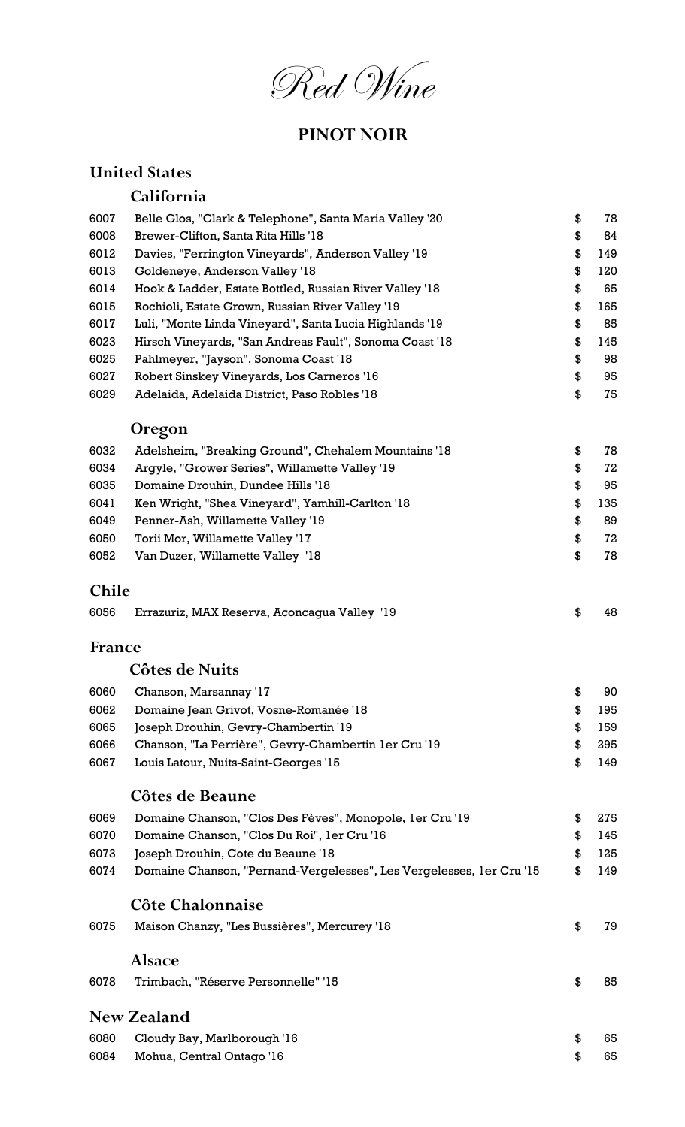Red Wine

## PINOT NOIR

## United States

## California

| 6007          | Belle Glos, "Clark & Telephone", Santa Maria Valley '20              | \$<br>78  |
|---------------|----------------------------------------------------------------------|-----------|
| 6008          | Brewer-Clifton, Santa Rita Hills '18                                 | \$<br>84  |
| 6012          | Davies, "Ferrington Vineyards", Anderson Valley '19                  | \$<br>149 |
| 6013          | Goldeneye, Anderson Valley '18                                       | \$<br>120 |
| 6014          | Hook & Ladder, Estate Bottled, Russian River Valley '18              | \$<br>65  |
| 6015          | Rochioli, Estate Grown, Russian River Valley '19                     | \$<br>165 |
| 6017          | Luli, "Monte Linda Vineyard", Santa Lucia Highlands '19              | \$<br>85  |
| 6023          | Hirsch Vineyards, "San Andreas Fault", Sonoma Coast '18              | \$<br>145 |
| 6025          | Pahlmeyer, "Jayson", Sonoma Coast '18                                | \$<br>98  |
| 6027          | Robert Sinskey Vineyards, Los Carneros '16                           | \$<br>95  |
| 6029          | Adelaida, Adelaida District, Paso Robles '18                         | \$<br>75  |
|               | <b>Oregon</b>                                                        |           |
| 6032          | Adelsheim, "Breaking Ground", Chehalem Mountains '18                 | \$<br>78  |
| 6034          | Argyle, "Grower Series", Willamette Valley '19                       | \$<br>72  |
| 6035          | Domaine Drouhin, Dundee Hills '18                                    | \$<br>95  |
| 6041          | Ken Wright, "Shea Vineyard", Yamhill-Carlton '18                     | \$<br>135 |
| 6049          | Penner-Ash, Willamette Valley '19                                    | \$<br>89  |
| 6050          | Torii Mor, Willamette Valley '17                                     | \$<br>72  |
| 6052          | Van Duzer, Willamette Valley '18                                     | \$<br>78  |
|               |                                                                      |           |
| <b>Chile</b>  |                                                                      |           |
| 6056          | Errazuriz, MAX Reserva, Aconcagua Valley '19                         | \$<br>48  |
| <b>France</b> |                                                                      |           |
|               | Côtes de Nuits                                                       |           |
| 6060          | Chanson, Marsannay '17                                               | \$<br>90  |
| 6062          | Domaine Jean Grivot, Vosne-Romanée '18                               | 195       |
| 6065          | Joseph Drouhin, Gevry-Chambertin '19                                 | \$<br>159 |
| 6066          | Chanson, "La Perrière", Gevry-Chambertin 1er Cru '19                 | \$<br>295 |
| 6067          | Louis Latour, Nuits-Saint-Georges '15                                | \$<br>149 |
|               | <b>Côtes de Beaune</b>                                               |           |
| 6069          | Domaine Chanson, "Clos Des Fèves", Monopole, 1er Cru '19             | \$<br>275 |
| 6070          | Domaine Chanson, "Clos Du Roi", 1er Cru '16                          | \$<br>145 |
| 6073          | Joseph Drouhin, Cote du Beaune '18                                   | \$<br>125 |
| 6074          | Domaine Chanson, "Pernand-Vergelesses", Les Vergelesses, 1er Cru '15 | \$<br>149 |
|               | Côte Chalonnaise                                                     |           |
| 6075          | Maison Chanzy, "Les Bussières", Mercurey '18                         | \$<br>79  |
|               |                                                                      |           |
|               | <b>Alsace</b>                                                        |           |
| 6078          | Trimbach, "Réserve Personnelle" '15                                  | \$<br>85  |
|               | <b>New Zealand</b>                                                   |           |
| 6080          | Cloudy Bay, Marlborough '16                                          | \$<br>65  |
|               |                                                                      |           |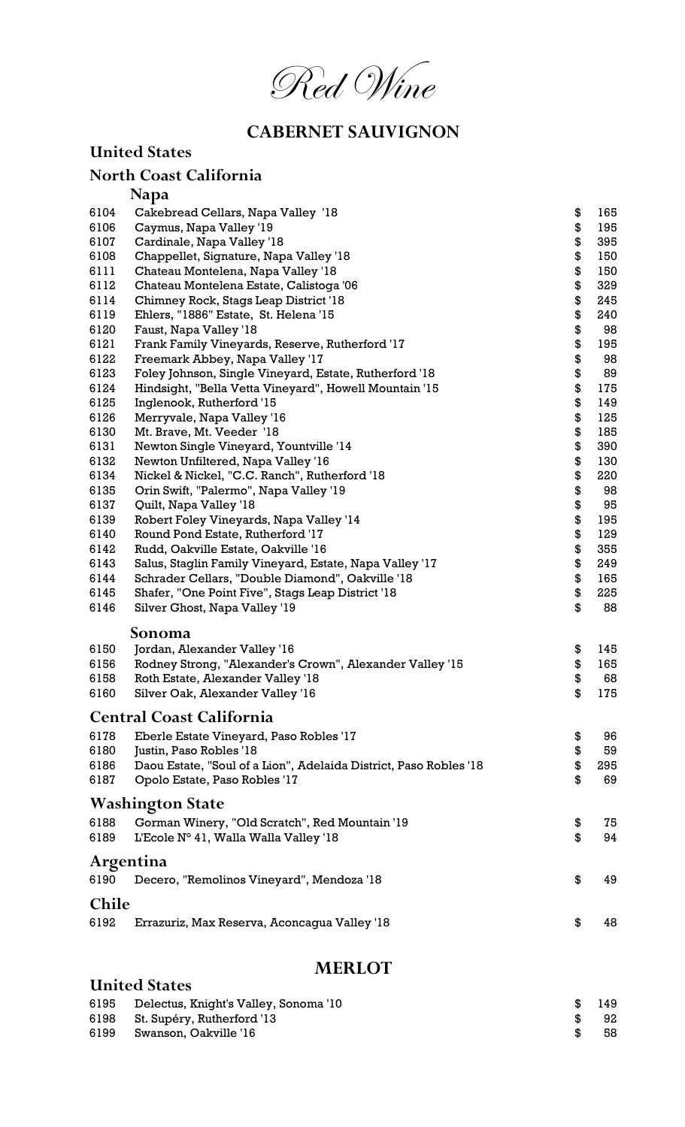

## CABERNET SAUVIGNON

|              | <b>United States</b>                                                         |          |           |
|--------------|------------------------------------------------------------------------------|----------|-----------|
|              | <b>North Coast California</b>                                                |          |           |
|              | <b>Napa</b>                                                                  |          |           |
| 6104         | Cakebread Cellars, Napa Valley '18                                           | \$       | 165       |
| 6106         | Caymus, Napa Valley '19                                                      | \$       | 195       |
| 6107         | Cardinale, Napa Valley '18                                                   | \$       | 395       |
| 6108         | Chappellet, Signature, Napa Valley '18                                       | \$       | 150       |
| 6111         | Chateau Montelena, Napa Valley '18                                           | \$       | 150       |
| 6112         | Chateau Montelena Estate, Calistoga '06                                      | \$       | 329       |
| 6114         | Chimney Rock, Stags Leap District '18                                        | \$       | 245       |
| 6119         | Ehlers, "1886" Estate, St. Helena '15                                        | \$       | 240       |
| 6120         | Faust, Napa Valley '18                                                       | \$       | 98        |
| 6121         | Frank Family Vineyards, Reserve, Rutherford '17                              | \$       | 195       |
| 6122         | Freemark Abbey, Napa Valley '17                                              | \$       | 98        |
| 6123         | Foley Johnson, Single Vineyard, Estate, Rutherford '18                       | \$       | 89        |
| 6124         | Hindsight, "Bella Vetta Vineyard", Howell Mountain '15                       | \$       | 175       |
| 6125         | Inglenook, Rutherford '15                                                    | \$       | 149       |
| 6126         | Merryvale, Napa Valley '16                                                   | \$       | 125       |
| 6130         | Mt. Brave, Mt. Veeder '18                                                    | \$       | 185       |
| 6131         | Newton Single Vineyard, Yountville '14                                       | \$       | 390       |
| 6132         | Newton Unfiltered, Napa Valley '16                                           | \$       | 130       |
| 6134         | Nickel & Nickel, "C.C. Ranch", Rutherford '18                                | \$       | 220       |
| 6135         | Orin Swift, "Palermo", Napa Valley '19                                       | \$       | 98        |
| 6137<br>6139 | Quilt, Napa Valley '18                                                       | \$<br>\$ | 95<br>195 |
| 6140         | Robert Foley Vineyards, Napa Valley '14<br>Round Pond Estate, Rutherford '17 | \$       | 129       |
| 6142         | Rudd, Oakville Estate, Oakville '16                                          | \$       | 355       |
| 6143         | Salus, Staglin Family Vineyard, Estate, Napa Valley '17                      | \$       | 249       |
| 6144         | Schrader Cellars, "Double Diamond", Oakville '18                             | \$       | 165       |
| 6145         | Shafer, "One Point Five", Stags Leap District '18                            | \$       | 225       |
| 6146         | Silver Ghost, Napa Valley '19                                                | \$       | 88        |
|              | Sonoma                                                                       |          |           |
| 6150         | Jordan, Alexander Valley '16                                                 | \$       | 145       |
| 6156         | Rodney Strong, "Alexander's Crown", Alexander Valley '15                     | \$       | 165       |
| 6158         | Roth Estate, Alexander Valley '18                                            | \$       | 68        |
| 6160         | Silver Oak, Alexander Valley '16                                             | \$       | 175       |
|              | <b>Central Coast California</b>                                              |          |           |
| 6178         | Eberle Estate Vineyard, Paso Robles '17                                      | \$       | 96        |
| 6180         | Justin, Paso Robles '18                                                      | \$       | 59        |
| 6186         | Daou Estate, "Soul of a Lion", Adelaida District, Paso Robles '18            | \$       | 295       |
| 6187         | Opolo Estate, Paso Robles '17                                                | \$       | 69        |
|              | <b>Washington State</b>                                                      |          |           |
| 6188         | Gorman Winery, "Old Scratch", Red Mountain '19                               | \$       | 75        |
| 6189         | L'Ecole N° 41, Walla Walla Valley '18                                        | \$       | 94        |
| Argentina    |                                                                              |          |           |
| 6190         | Decero, "Remolinos Vineyard", Mendoza '18                                    | \$       | 49        |
| <b>Chile</b> |                                                                              |          |           |
| 6192         | Errazuriz, Max Reserva, Aconcagua Valley '18                                 | \$       | 48        |
|              |                                                                              |          |           |
|              |                                                                              |          |           |

### MERLOT

| **********                            |                                                    |     |
|---------------------------------------|----------------------------------------------------|-----|
|                                       |                                                    |     |
| Delectus, Knight's Valley, Sonoma '10 | -SG                                                | 149 |
|                                       |                                                    | 92  |
| Swanson, Oakville '16                 | - \$                                               | 58  |
|                                       | <b>United States</b><br>St. Supéry, Rutherford '13 |     |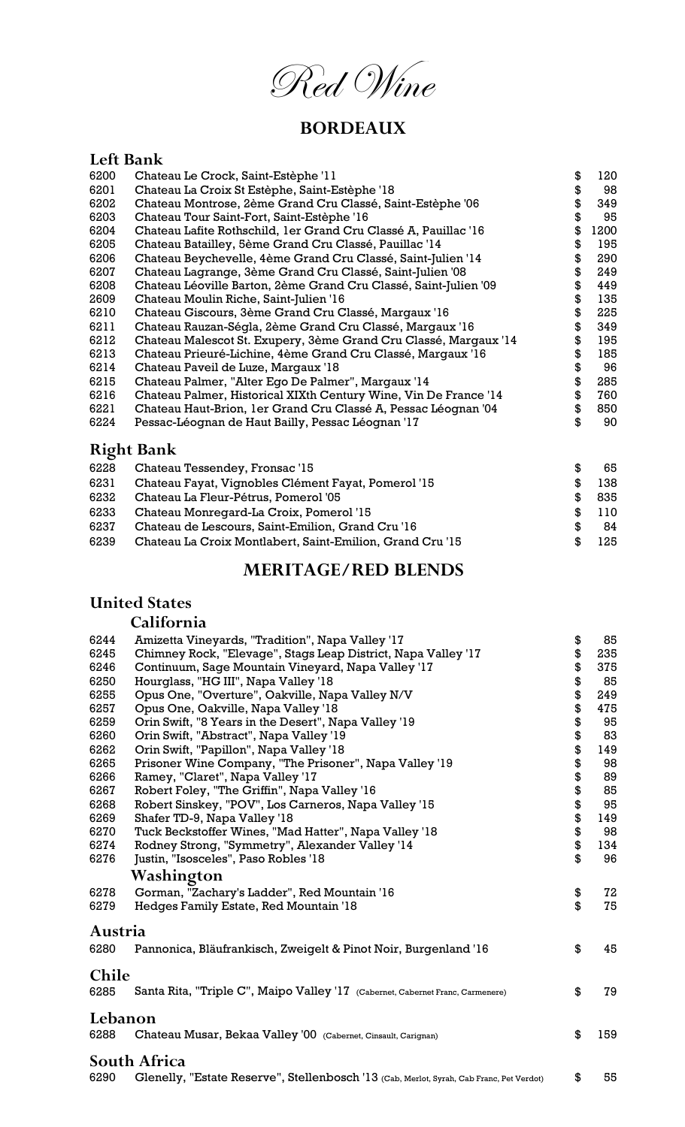Red Wine

## BORDEAUX

#### Left Bank

| 6200 | Chateau Le Crock, Saint-Estèphe '11                              | \$<br>120  |
|------|------------------------------------------------------------------|------------|
| 6201 | Chateau La Croix St Estèphe, Saint-Estèphe '18                   | \$<br>98   |
| 6202 | Chateau Montrose, 2ème Grand Cru Classé, Saint-Estèphe '06       | \$<br>349  |
| 6203 | Chateau Tour Saint-Fort, Saint-Estèphe '16                       | \$<br>95   |
| 6204 | Chateau Lafite Rothschild, 1er Grand Cru Classé A, Pauillac '16  | \$<br>1200 |
| 6205 | Chateau Batailley, 5ème Grand Cru Classé, Pauillac '14           | \$<br>195  |
| 6206 | Chateau Beychevelle, 4ème Grand Cru Classé, Saint-Julien '14     | \$<br>290  |
| 6207 | Chateau Lagrange, 3ème Grand Cru Classé, Saint-Julien '08        | \$<br>249  |
| 6208 | Chateau Léoville Barton, 2ème Grand Cru Classé, Saint-Julien '09 | \$<br>449  |
| 2609 | Chateau Moulin Riche, Saint-Julien '16                           | \$<br>135  |
| 6210 | Chateau Giscours, 3ème Grand Cru Classé, Margaux '16             | \$<br>225  |
| 6211 | Chateau Rauzan-Ségla, 2ème Grand Cru Classé, Margaux '16         | \$<br>349  |
| 6212 | Chateau Malescot St. Exupery, 3ème Grand Cru Classé, Margaux '14 | \$<br>195  |
| 6213 | Chateau Prieuré-Lichine, 4ème Grand Cru Classé, Margaux '16      | \$<br>185  |
| 6214 | Chateau Paveil de Luze, Margaux '18                              | \$<br>96   |
| 6215 | Chateau Palmer, "Alter Ego De Palmer", Margaux '14               | \$<br>285  |
| 6216 | Chateau Palmer, Historical XIXth Century Wine, Vin De France '14 | \$<br>760  |
| 6221 | Chateau Haut-Brion, 1er Grand Cru Classé A, Pessac Léognan '04   | \$<br>850  |
| 6224 | Pessac-Léognan de Haut Bailly, Pessac Léognan '17                | \$<br>90   |
|      | <b>Right Bank</b>                                                |            |
| 6228 | Chateau Tessendey, Fronsac '15                                   | \$<br>65   |
| 6231 | Chateau Fayat, Vignobles Clément Fayat, Pomerol '15              | \$<br>138  |
| 6232 | Chateau La Fleur-Pétrus, Pomerol '05                             | \$<br>835  |

- 6233 Chateau Monregard-La Croix, Pomerol '15 **\$** 110
- 6237 Chateau de Lescours, Saint-Emilion, Grand Cru '16 **\$** 84
- 6239 Chateau La Croix Montlabert, Saint-Emilion, Grand Cru '15 \$ 125

#### MERITAGE/RED BLENDS

#### United States

#### California

| 6244         | Amizetta Vineyards, "Tradition", Napa Valley '17                                         | \$<br>85  |
|--------------|------------------------------------------------------------------------------------------|-----------|
| 6245         | Chimney Rock, "Elevage", Stags Leap District, Napa Valley '17                            | \$<br>235 |
| 6246         | Continuum, Sage Mountain Vineyard, Napa Valley '17                                       | \$<br>375 |
| 6250         | Hourglass, "HG III", Napa Valley '18                                                     | \$<br>85  |
| 6255         | Opus One, "Overture", Oakville, Napa Valley N/V                                          | \$<br>249 |
| 6257         | Opus One, Oakville, Napa Valley '18                                                      | \$<br>475 |
| 6259         | Orin Swift, "8 Years in the Desert", Napa Valley '19                                     | \$<br>95  |
| 6260         | Orin Swift, "Abstract", Napa Valley '19                                                  | \$<br>83  |
| 6262         | Orin Swift, "Papillon", Napa Valley '18                                                  | \$<br>149 |
| 6265         | Prisoner Wine Company, "The Prisoner", Napa Valley '19                                   | \$<br>98  |
| 6266         | Ramey, "Claret", Napa Valley '17                                                         | \$<br>89  |
| 6267         | Robert Foley, "The Griffin", Napa Valley '16                                             | \$<br>85  |
| 6268         | Robert Sinskey, "POV", Los Carneros, Napa Valley '15                                     | \$<br>95  |
| 6269         | Shafer TD-9, Napa Valley '18                                                             | \$<br>149 |
| 6270         | Tuck Beckstoffer Wines, "Mad Hatter", Napa Valley '18                                    | \$<br>98  |
| 6274         | Rodney Strong, "Symmetry", Alexander Valley '14                                          | \$<br>134 |
| 6276         | Justin, "Isosceles", Paso Robles '18                                                     | \$<br>96  |
|              | Washington                                                                               |           |
| 6278         | Gorman, "Zachary's Ladder", Red Mountain '16                                             | \$<br>72  |
| 6279         | Hedges Family Estate, Red Mountain '18                                                   | \$<br>75  |
| Austria      |                                                                                          |           |
| 6280         |                                                                                          | \$<br>45  |
|              | Pannonica, Bläufrankisch, Zweigelt & Pinot Noir, Burgenland '16                          |           |
| <b>Chile</b> |                                                                                          |           |
| 6285         | Santa Rita, "Triple C", Maipo Valley '17 (Cabernet, Cabernet Franc, Carmenere)           | \$<br>79  |
| Lebanon      |                                                                                          |           |
| 6288         | Chateau Musar, Bekaa Valley '00 (Cabernet, Cinsault, Carignan)                           | \$<br>159 |
|              |                                                                                          |           |
|              | South Africa                                                                             |           |
| 6290         | Glenelly, "Estate Reserve", Stellenbosch '13 (Cab, Merlot, Syrah, Cab Franc, Pet Verdot) | \$<br>55  |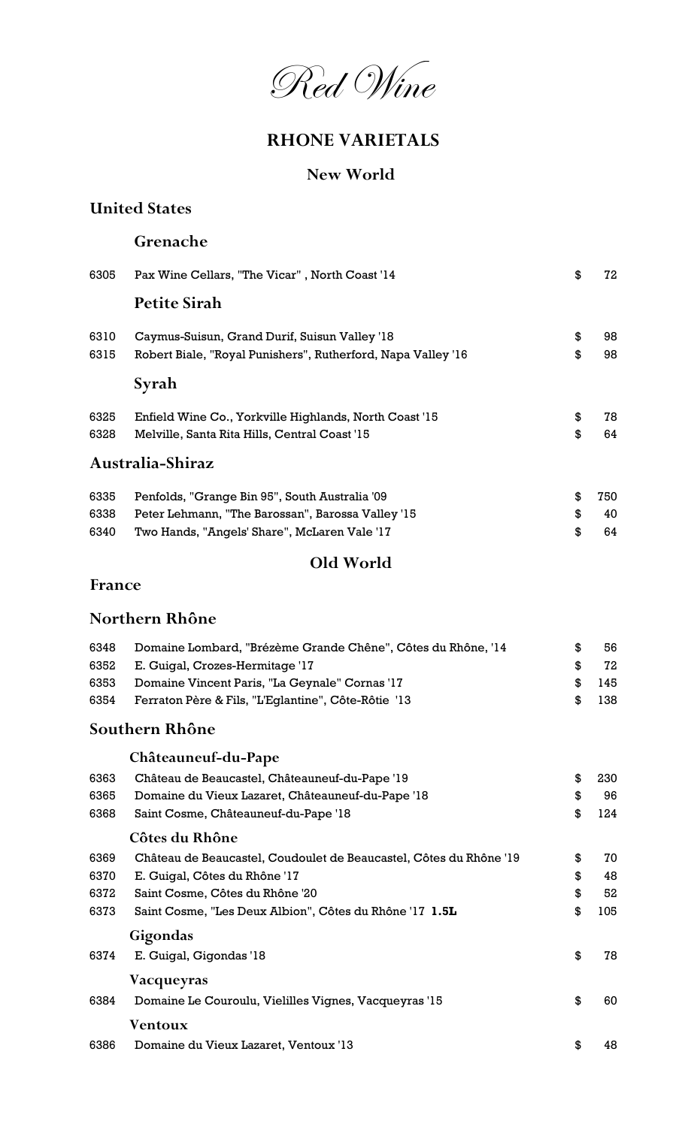

## RHONE VARIETALS

### New World

#### United States

#### Grenache

| 6305 | Pax Wine Cellars, "The Vicar", North Coast '14               | \$<br>72  |
|------|--------------------------------------------------------------|-----------|
|      | <b>Petite Sirah</b>                                          |           |
| 6310 | Caymus-Suisun, Grand Durif, Suisun Valley '18                | \$<br>98  |
| 6315 | Robert Biale, "Royal Punishers", Rutherford, Napa Valley '16 | \$<br>98  |
|      | Syrah                                                        |           |
| 6325 | Enfield Wine Co., Yorkville Highlands, North Coast '15       | \$<br>78  |
| 6328 | Melville, Santa Rita Hills, Central Coast '15                | \$<br>64  |
|      | Australia-Shiraz                                             |           |
| 6335 | Penfolds, "Grange Bin 95", South Australia '09               | \$<br>750 |
| 6338 | Peter Lehmann, "The Barossan", Barossa Valley '15            | \$<br>40  |
| 6340 | Two Hands, "Angels' Share", McLaren Vale '17                 | \$<br>64  |
|      | Old World                                                    |           |

#### France

#### Northern Rhône

| 6348 | Domaine Lombard, "Brézème Grande Chêne", Côtes du Rhône, '14 |               | 56.  |
|------|--------------------------------------------------------------|---------------|------|
|      | 6352 E. Guigal, Crozes-Hermitage '17                         | .ዌ            | 72   |
| 6353 | Domaine Vincent Paris, "La Geynale" Cornas '17               | $\mathcal{R}$ | 145  |
| 6354 | Ferraton Père & Fils, "L'Eglantine", Côte-Rôtie '13          | SS.           | -138 |

## Southern Rhône

## Châteauneuf-du-Pape

| 6363 | Château de Beaucastel, Châteauneuf-du-Pape '19                     | \$<br>230 |
|------|--------------------------------------------------------------------|-----------|
| 6365 | Domaine du Vieux Lazaret, Châteauneuf-du-Pape '18                  | \$<br>96  |
| 6368 | Saint Cosme, Châteauneuf-du-Pape '18                               | \$<br>124 |
|      | Côtes du Rhône                                                     |           |
| 6369 | Château de Beaucastel, Coudoulet de Beaucastel, Côtes du Rhône '19 | \$<br>70  |
| 6370 | E. Guigal, Côtes du Rhône '17                                      | \$<br>48  |
| 6372 | Saint Cosme, Côtes du Rhône '20                                    | \$<br>52  |
| 6373 | Saint Cosme, "Les Deux Albion", Côtes du Rhône '17 1.5L            | \$<br>105 |
|      | Gigondas                                                           |           |
| 6374 | E. Guigal, Gigondas '18                                            | \$<br>78  |
|      | Vacqueyras                                                         |           |
| 6384 | Domaine Le Couroulu, Vielilles Vignes, Vacqueyras '15              | \$<br>60  |
|      | Ventoux                                                            |           |
| 6386 | Domaine du Vieux Lazaret, Ventoux '13                              | \$<br>48  |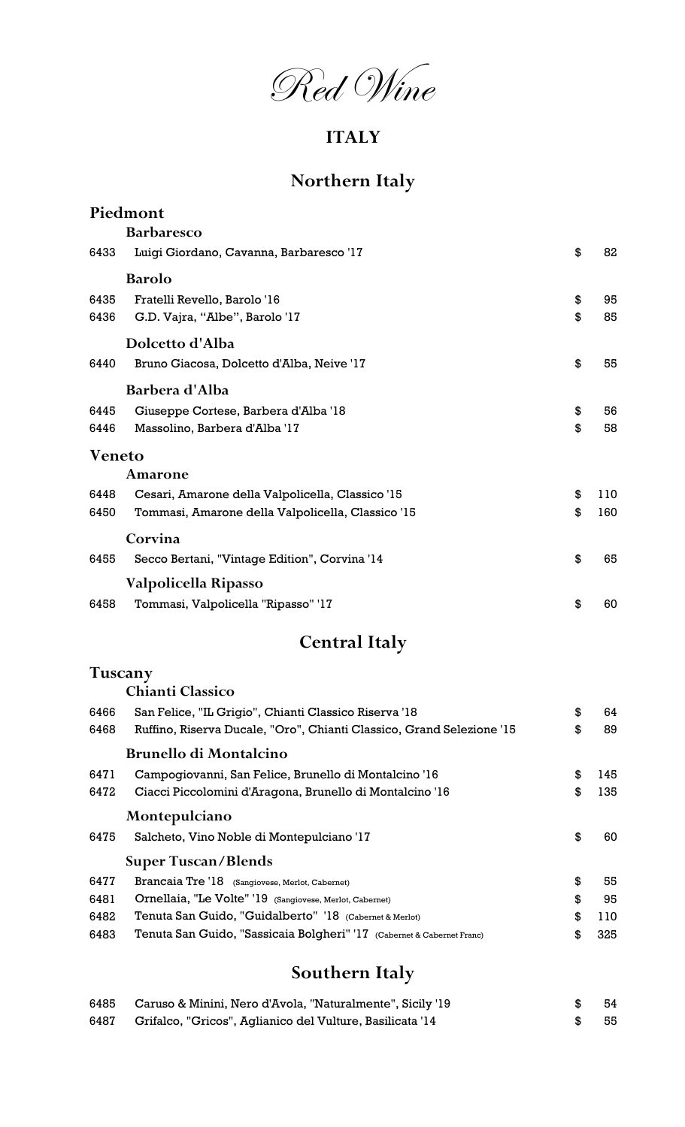Red Wine

## ITALY

## Northern Italy

|               | Piedmont                                          |           |
|---------------|---------------------------------------------------|-----------|
|               | <b>Barbaresco</b>                                 |           |
| 6433          | Luigi Giordano, Cavanna, Barbaresco '17           | \$<br>82  |
|               | <b>Barolo</b>                                     |           |
| 6435          | Fratelli Revello, Barolo '16                      | \$<br>95  |
| 6436          | G.D. Vajra, "Albe", Barolo '17                    | \$<br>85  |
|               | Dolcetto d'Alba                                   |           |
| 6440          | Bruno Giacosa, Dolcetto d'Alba, Neive '17         | \$<br>55  |
|               | Barbera d'Alba                                    |           |
| 6445          | Giuseppe Cortese, Barbera d'Alba '18              | \$<br>56  |
| 6446          | Massolino, Barbera d'Alba '17                     | \$<br>58  |
| <b>Veneto</b> |                                                   |           |
|               | Amarone                                           |           |
| 6448          | Cesari, Amarone della Valpolicella, Classico '15  | \$<br>110 |
| 6450          | Tommasi, Amarone della Valpolicella, Classico '15 | \$<br>160 |
|               | Corvina                                           |           |
| 6455          | Secco Bertani, "Vintage Edition", Corvina '14     | \$<br>65  |
|               | Valpolicella Ripasso                              |           |
| 6458          | Tommasi, Valpolicella "Ripasso" '17               | \$<br>60  |

## Central Italy

#### Tuscany Chianti Classico

| 6466<br>6468 | San Felice, "IL Grigio", Chianti Classico Riserva '18<br>Ruffino, Riserva Ducale, "Oro", Chianti Classico, Grand Selezione '15 | \$<br>\$ | 64<br>89 |
|--------------|--------------------------------------------------------------------------------------------------------------------------------|----------|----------|
|              | <b>Brunello di Montalcino</b>                                                                                                  |          |          |
| 6471         | Campogiovanni, San Felice, Brunello di Montalcino '16                                                                          | \$       | 145      |
| 6472         | Ciacci Piccolomini d'Aragona, Brunello di Montalcino '16                                                                       | \$       | 135.     |
|              | Montepulciano                                                                                                                  |          |          |
| 6475         | Salcheto, Vino Noble di Montepulciano '17                                                                                      | \$       | 60       |
|              | <b>Super Tuscan/Blends</b>                                                                                                     |          |          |
| 6477         | Brancaia Tre '18 (Sangiovese, Merlot, Cabernet)                                                                                | \$       | 55       |
| 6481         | Ornellaia, "Le Volte" '19 (Sangiovese, Merlot, Cabernet)                                                                       | \$       | 95       |
| 6482         | Tenuta San Guido, "Guidalberto" '18 (Cabernet & Merlot)                                                                        | \$       | 110      |
| 6483         | Tenuta San Guido, "Sassicaia Bolgheri" '17 (Cabernet & Cabernet Franc)                                                         | \$       | 325      |
|              |                                                                                                                                |          |          |

## Southern Italy

| 6485 Caruso & Minini, Nero d'Avola, "Naturalmente", Sicily '19 | - 54 |
|----------------------------------------------------------------|------|
| 6487 Grifalco, "Gricos", Aglianico del Vulture, Basilicata '14 | - 55 |